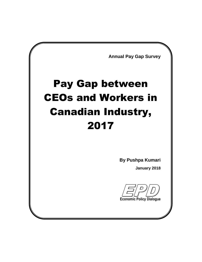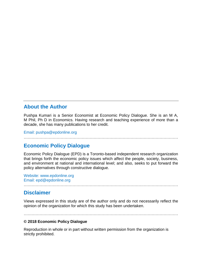## **About the Author**

Pushpa Kumari is a Senior Economist at Economic Policy Dialogue. She is an M A, M Phil, Ph D in Economics. Having research and teaching experience of more than a decade, she has many publications to her credit.

Email: pushpa@epdonline.org

## **Economic Policy Dialogue**

Economic Policy Dialogue (EPD) is a Toronto-based independent research organization that brings forth the economic policy issues which affect the people, society, business, and environment at national and international level; and also, seeks to put forward the policy alternatives through constructive dialogue.

Website: www.epdonline.org Email: epd@epdonline.org

#### **Disclaimer**

Views expressed in this study are of the author only and do not necessarily reflect the opinion of the organization for which this study has been undertaken.

………………………………………………………………………………………………………

………………………………………………………………………………………………………

#### **© 2018 Economic Policy Dialogue**

Reproduction in whole or in part without written permission from the organization is strictly prohibited.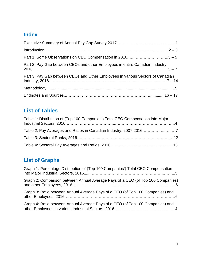## **Index**

| Part 1: Some Observations on CEO Compensation in 20163 - 5                      |  |
|---------------------------------------------------------------------------------|--|
| Part 2: Pay Gap between CEOs and other Employees in entire Canadian Industry,   |  |
| Part 3: Pay Gap between CEOs and Other Employees in various Sectors of Canadian |  |
|                                                                                 |  |
|                                                                                 |  |

## **List of Tables**

| Table 1: Distribution of (Top 100 Companies') Total CEO Compensation into Major |  |
|---------------------------------------------------------------------------------|--|
|                                                                                 |  |
|                                                                                 |  |
|                                                                                 |  |

## **List of Graphs**

| Graph 1: Percentage Distribution of (Top 100 Companies') Total CEO Compensation |
|---------------------------------------------------------------------------------|
| Graph 2: Comparison between Annual Average Pays of a CEO (of Top 100 Companies) |
| Graph 3: Ratio between Annual Average Pays of a CEO (of Top 100 Companies) and  |
| Graph 4: Ratio between Annual Average Pays of a CEO (of Top 100 Companies) and  |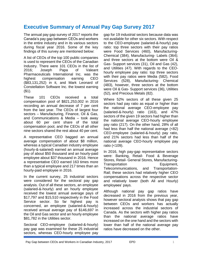## **Executive Summary of Annual Pay Gap Survey 2017**

The annual pay gap survey of 2017 reports the Canada's pay gap between CEOs and workers in the entire industry and in its various sectors during fiscal year 2016. Some of the key findings of this survey are mentioned below:

A list of CEOs of the top 100 public companies is used to represent the CEOs of the Canadian Industry. There were 101 CEOs in the list of 2016; Joseph Papa of Valeant Pharmaceuticals International Inc. was the highest compensation earning CEO (\$83,131,252) in it, and Mark Leonard of Constellation Software Inc. the lowest earning (\$1).

These 101 CEOs received a total compensation pool of \$821,253,002 in 2016 recording an annual decrease of 7 per cent from the last year. The CEOs of largest four sectors – Manufacturing, Finance, Oil & Gas, and Communications & Media – took away about 60 per cent share of the total compensation pool, and the CEOs of all other nine sectors shared the rest about 40 per cent.

A representative CEO bagged an annual average compensation of about \$8 million, whereas a typical Canadian industry employee (hourly-&-salaried) earned an annual average pay of about \$50 thousand and an hourly-paid employee about \$37 thousand in 2016. Hence a representative CEO earned 163 times more than a typical employee and 217 times than an hourly-paid employee in 2016.

In the current survey, 25 industrial sectors were considered for the sectoral pay gap analysis. Out of all these sectors, an employee (salaried-&-hourly) and an hourly employee received the lowest annual average pays of \$17,797 and \$15,510 respectively in the Food Service sector. So far highest pay is concerned, an employee (salaried-&-hourly) received annual average pay of \$146,697 in the Oil and Gas sector and an hourly employee \$81,782 in the Utilities sector.

Sectoral CEO-employee (salaried-&-hourly) pay gap was examined for these 25 industrial sectors, whereas CEO-hourly employee pay gap for 19 industrial sectors because data was not available for other six sectors. With respect to the CEO-employee (salaried-&-hourly) pay ratio: top three sectors with their pay ratios were Food Services (460), Manufacturing-Chemical (384), Manufacturing- Labels (364); and three sectors at the bottom were Oil & Gas- Support services (31), Oil and Gas (42), and Utilities (47). With regards to the CEOhourly employee pay ratio: top three sectors with their pay ratios were Media (582), Food Services (528), Manufacturing- Chemical (483), however, three sectors at the bottom were Oil & Gas- Support services (36), Utilities (52), and Precious Metals (82).

Where 52% sectors of all these given 25 sectors had pay ratio as equal or higher than the national average CEO-employee pay (salaried-&-hourly) ratio (163), and 47% sectors of the given 19 sectors had higher than the national average CEO-hourly employee pay ratio (217). On the other hand, 28% of all had less than half the national average (<82) CEO-employee (salaried-&-hourly) pay ratio, and 21% sectors had less than half of the national average CEO-hourly employee pay ratio (<109).

In 2016, high pay-gap representative sectors were: Banking, Retail- Food & Beverage Stores, Retail- General Stores, Manufacturing-Transportation Equipment, Telecommunications, and Transportation-Rail; these sectors had relatively higher CEO compensations across the respective sector and relatively lower (both All and Hourly) employees' pays.

Although national pay gap ratios have decreased in 2016 from the previous year, however sectoral analysis shows that pay gap between CEOs and workers has actually increased across the industrial sectors of Canada. As the sectors with higher pay ratios than the national average ratios have increased on the one hand and the sectors with lower than half of the national average pay ratios have decreased on the other.

Pay Gap between CEOs and Workers in Canadian Industry, 2017 EPD EPD 1997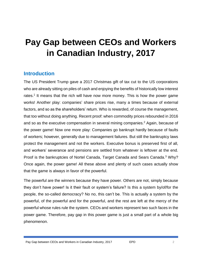# **Pay Gap between CEOs and Workers in Canadian Industry, 2017**

## **Introduction**

The US President Trump gave a 2017 Christmas gift of tax cut to the US corporations who are already sitting on piles of cash and enjoying the benefits of historically low interest rates.<sup>1</sup> It means that the rich will have now more money. This is how the power game works! Another play: companies' share prices rise, many a times because of external factors, and so as the shareholders' return. Who is rewarded, of course the management, that too without doing anything. Recent proof: when commodity prices rebounded in 2016 and so as the executive compensation in several mining companies.<sup>2</sup> Again, because of the power game! Now one more play: Companies go bankrupt hardly because of faults of workers; however, generally due to management failures. But still the bankruptcy laws protect the management and not the workers. Executive bonus is preserved first of all, and workers' severance and pensions are settled from whatever is leftover at the end. Proof is the bankruptcies of Nortel Canada, Target Canada and Sears Canada.<sup>3</sup> Why? Once again, the power game! All these above and plenty of such cases actually show that the game is always in favor of the powerful.

The powerful are the winners because they have power. Others are not, simply because they don't have power! Is it their fault or system's failure? Is this a system by/of/for the people, the so-called democracy? No no, this can't be. This is actually a system by the powerful, of the powerful and for the powerful, and the rest are left at the mercy of the powerful whose rules rule the system. CEOs and workers represent two such faces in the power game. Therefore, pay gap in this power game is just a small part of a whole big phenomenon.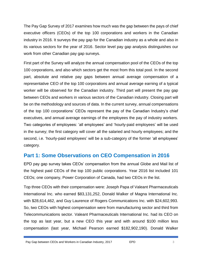The Pay Gap Survey of 2017 examines how much was the gap between the pays of chief executive officers (CEOs) of the top 100 corporations and workers in the Canadian industry in 2016. It surveys the pay gap for the Canadian industry as a whole and also in its various sectors for the year of 2016. Sector level pay gap analysis distinguishes our work from other Canadian pay gap surveys.

First part of the Survey will analyze the annual compensation pool of the CEOs of the top 100 corporations, and also which sectors get the most from this total pool. In the second part, absolute and relative pay gaps between annual average compensation of a representative CEO of the top 100 corporations and annual average earning of a typical worker will be observed for the Canadian industry. Third part will present the pay gap between CEOs and workers in various sectors of the Canadian industry. Closing part will be on the methodology and sources of data. In the current survey, annual compensations of the top 100 corporations' CEOs represent the pay of the Canadian Industry's chief executives, and annual average earnings of the employees the pay of industry workers. Two categories of employees: 'all employees' and 'hourly-paid employees' will be used in the survey; the first category will cover all the salaried and hourly employees; and the second, i.e. 'hourly-paid employees' will be a sub-category of the former 'all employees' category.

## **Part 1: Some Observations on CEO Compensation in 2016**

EPD pay gap survey takes CEOs' compensation from the annual Globe and Mail list of the highest paid CEOs of the top 100 public corporations. Year 2016 list included 101 CEOs; one company, Power Corporation of Canada, had two CEOs in the list.

Top three CEOs with their compensation were: Joseph Papa of Valeant Pharmaceuticals International Inc. who earned \$83,131,252, Donald Walker of Magna International Inc. with \$28,614,462, and Guy Laurence of Rogers Communications Inc. with \$24,602,993. So, two CEOs with highest compensation were from manufacturing sector and third from Telecommunications sector. Valeant Pharmaceuticals International Inc. had its CEO on the top as last year, but a new CEO this year and with around \$100 million less compensation (last year, Michael Pearson earned \$182,902,190). Donald Walker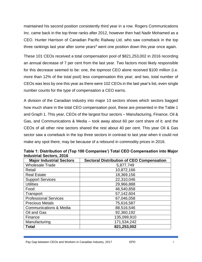maintained his second position consistently third year in a row. Rogers Communications Inc. came back in the top three ranks after 2012, however then had Nadir Mohamed as a CEO. Hunter Harrison of Canadian Pacific Railway Ltd. who saw comeback in the top three rankings last year after some years<sup>4</sup> went one position down this year once again.

These 101 CEOs received a total compensation pool of \$821,253,002 in 2016 recording an annual decrease of 7 per cent from the last year. Two factors most likely responsible for this decrease seemed to be: one, the topmost CEO alone received \$100 million (i.e. more than 12% of the total pool) less compensation this year; and two, total number of CEOs was less by one this year as there were 102 CEOs in the last year's list, even single number counts for the type of compensation a CEO earns.

A division of the Canadian industry into major 13 sectors shows which sectors bagged how much share in the total CEO compensation pool, these are presented in the Table 1 and Graph 1. This year, CEOs of the largest four sectors – Manufacturing, Finance, Oil & Gas, and Communications & Media – took away about 60 per cent share of it; and the CEOs of all other nine sectors shared the rest about 40 per cent. This year Oil & Gas sector saw a comeback in the top three sectors in contrast to last year when it could not make any spot there; may be because of a rebound in commodity prices in 2016.

| <b>Major Industrial Sectors</b>   | <b>Sectoral Distribution of CEO Compensation</b> |
|-----------------------------------|--------------------------------------------------|
| <b>Wholesale Trade</b>            | 5,877,749                                        |
| Retail                            | 10,872,166                                       |
| <b>Real Estate</b>                | 18,369,156                                       |
| <b>Support Services</b>           | 22,310,046                                       |
| <b>Utilities</b>                  | 29,966,888                                       |
| Food                              | 46,540,858                                       |
| Transport                         | 57,142,604                                       |
| <b>Professional Services</b>      | 67,046,058                                       |
| <b>Precious Metals</b>            | 75,616,587                                       |
| <b>Communications &amp; Media</b> | 88,516,546                                       |
| Oil and Gas                       | 92,360,192                                       |
| Finance                           | 135,099,910                                      |
| Manufacturing                     | 171,534,242                                      |
| <b>Total</b>                      | 821,253,002                                      |

**Table 1: Distribution of (Top 100 Companies') Total CEO Compensation into Major Industrial Sectors, 2016**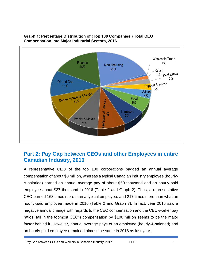

#### **Graph 1: Percentage Distribution of (Top 100 Companies') Total CEO Compensation into Major Industrial Sectors, 2016**

## **Part 2: Pay Gap between CEOs and other Employees in entire Canadian Industry, 2016**

A representative CEO of the top 100 corporations bagged an annual average compensation of about \$8 million, whereas a typical Canadian industry employee (hourly- &-salaried) earned an annual average pay of about \$50 thousand and an hourly-paid employee about \$37 thousand in 2016 (Table 2 and Graph 2). Thus, a representative CEO earned 163 times more than a typical employee, and 217 times more than what an hourly-paid employee made in 2016 (Table 2 and Graph 3). In fact, year 2016 saw a negative annual change with regards to the CEO compensation and the CEO-worker pay ratios; fall in the topmost CEO's compensation by \$100 million seems to be the major factor behind it. However, annual average pays of an employee (hourly-&-salaried) and an hourly-paid employee remained almost the same in 2016 as last year.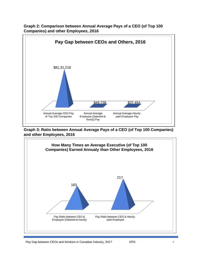

**Graph 2: Comparison between Annual Average Pays of a CEO (of Top 100 Companies) and other Employees, 2016**

**Graph 3: Ratio between Annual Average Pays of a CEO (of Top 100 Companies) and other Employees, 2016**

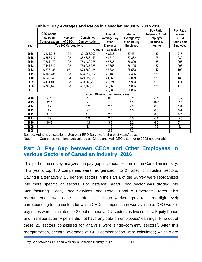| Year                         | <b>CEO Annual</b><br>Average<br>Compensation | <b>Number</b><br>of CEOs<br><b>Top 100 Corporations</b> | <b>Cumulative</b><br>Compensation | Annual<br><b>Average Pay</b><br>of an<br><b>Employee</b> | Annual<br><b>Average Pay</b><br>of an Hourly<br><b>Employee</b> | Pay Ratio<br>between CEO &<br><b>Employee</b><br>(Salaried-&-<br>hourly) | Pay Ratio<br>between<br>CEO&<br>Hourly-paid<br><b>Employee</b> |  |
|------------------------------|----------------------------------------------|---------------------------------------------------------|-----------------------------------|----------------------------------------------------------|-----------------------------------------------------------------|--------------------------------------------------------------------------|----------------------------------------------------------------|--|
| <b>Amount in Canadian \$</b> |                                              |                                                         |                                   |                                                          |                                                                 |                                                                          |                                                                |  |
| 2016                         | 8,131,218                                    | 101                                                     | 821,253,002                       | 49,738                                                   | 37,454                                                          | 163                                                                      | 217                                                            |  |
| 2015                         | 8,655,717                                    | 102                                                     | 882,883,113                       | 49,510                                                   | 37,382                                                          | 175                                                                      | 232                                                            |  |
| 2014                         | 7,681,179                                    | 102                                                     | 783,480,228                       | 48,636                                                   | 36,890                                                          | 158                                                                      | 208                                                            |  |
| 2013                         | 7,441,542                                    | 102                                                     | 759,037,285                       | 47,358                                                   | 36,105                                                          | 157                                                                      | 206                                                            |  |
| 2012                         | 6,875,135                                    | 98                                                      | 673,763,184                       | 46,634                                                   | 35,568                                                          | 147                                                                      | 193                                                            |  |
| 2011                         | 6,163,281                                    | 103                                                     | 634,817,907                       | 45,488                                                   | 34,496                                                          | 135                                                                      | 179                                                            |  |
| 2010                         | 6,048,345                                    | 104                                                     | 629,027,838                       | 44,366                                                   | 33,009                                                          | 136                                                                      | 183                                                            |  |
| 2009                         | 5,474,400                                    | 103                                                     | 563,863,200                       | 42,824                                                   | 31,993                                                          | 128                                                                      | 171                                                            |  |
| 2008                         | 5,706,443                                    | 103                                                     | 587,763,653                       | 42,169                                                   | 31,885                                                          | 135                                                                      | 179                                                            |  |
| 2007                         |                                              |                                                         |                                   | 40,988                                                   | 30,895                                                          |                                                                          |                                                                |  |
|                              |                                              |                                                         |                                   | Per cent Change from Previous Year                       |                                                                 |                                                                          |                                                                |  |
| 2016                         | $-6.1$                                       |                                                         | $-7.0$                            | 0.5                                                      | 0.2                                                             | $-6.5$                                                                   | $-6.2$                                                         |  |
| 2015                         | 12.7                                         |                                                         | 12.7                              | 1.8                                                      | 1.3                                                             | 10.7                                                                     | 11.2                                                           |  |
| 2014                         | 3.2                                          |                                                         | 3.2                               | 2.7                                                      | 2.2                                                             | 0.5                                                                      | 1.0                                                            |  |
| 2013                         | 8.2                                          |                                                         | 12.7                              | 1.6                                                      | 1.5                                                             | 6.6                                                                      | 6.6                                                            |  |
| 2012                         | 11.5                                         |                                                         | 6.1                               | 2.5                                                      | 3.1                                                             | 8.8                                                                      | 8.2                                                            |  |
| 2011                         | 1.9                                          |                                                         | 0.9                               | 2.5                                                      | 4.5                                                             | $-0.6$                                                                   | $-2.5$                                                         |  |
| 2010                         | 10.5                                         |                                                         | 11.6                              | 3.6                                                      | 3.2                                                             | 6.6                                                                      | 7.1                                                            |  |
| 2009                         | $-4.1$                                       |                                                         | $-4.1$                            | 1.6                                                      | 0.3                                                             | $-5.5$                                                                   | $-4.4$                                                         |  |
| 2008                         | $\overline{\phantom{0}}$                     |                                                         | —                                 | 2.9                                                      | 3.2                                                             | $\overline{\phantom{0}}$                                                 | $\qquad \qquad$                                                |  |

#### **Table 2: Pay Averages and Ratios in Canadian Industry, 2007-2016**

Source: Author's calculations. See past EPD Surveys for the past years' data.

Note: - Cannot be mentioned/calculated as Globe and Mail CEO List prior to 2008 not available.

## **Part 3: Pay Gap between CEOs and Other Employees in various Sectors of Canadian Industry, 2016**

This part of the survey analyzes the pay-gap in various sectors of the Canadian industry. This year's top 100 companies were reorganized into 27 specific industrial sectors. Saying it alternatively, 13 general sectors in the Part 1 of the Survey were reorganized into more specific 27 sectors. For instance: broad Food sector was divided into Manufacturing- Food, Food Services, and Retail- Food & Beverage Stores. This rearrangement was done in order to find the workers' pay (at three-digit level) corresponding to the sectors for which CEOs' compensation was available. CEO-worker pay ratios were calculated for 25 out of these all 27 sectors as two sectors, Equity Funds and Transportation- Pipeline did not have any data on employees' earnings. Nine out of these 25 sectors considered for analysis were single-company sectors<sup>5</sup>. After this reorganization, sectoral averages of CEO compensation were calculated; which were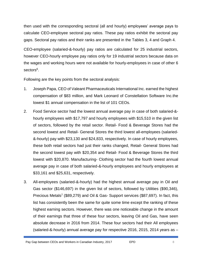then used with the corresponding sectoral (all and hourly) employees' average pays to calculate CEO-employee sectoral pay ratios. These pay ratios exhibit the sectoral pay gaps. Sectoral pay ratios and their ranks are presented in the Tables 3, 4 and Graph 4.

CEO-employee (salaried-&-hourly) pay ratios are calculated for 25 industrial sectors, however CEO-hourly employee pay ratios only for 19 industrial sectors because data on the wages and working hours were not available for hourly-employees in case of other 6 sectors<sup>6</sup>.

Following are the key points from the sectoral analysis:

- 1. Joseph Papa, CEO of Valeant Pharmaceuticals International Inc. earned the highest compensation of \$83 million, and Mark Leonard of Constellation Software Inc.the lowest \$1 annual compensation in the list of 101 CEOs.
- 2. Food Service sector had the lowest annual average pay in case of both salaried-& hourly employees with \$17,797 and hourly employees with \$15,510 in the given list of sectors, followed by the retail sector. Retail- Food & Beverage Stores had the second lowest and Retail- General Stores the third lowest all-employees (salaried- &-hourly) pay with \$23,130 and \$24,833, respectively. In case of hourly employees, these both retail sectors had just their ranks changed, Retail- General Stores had the second lowest pay with \$20,354 and Retail- Food & Beverage Stores the third lowest with \$20,870. Manufacturing- Clothing sector had the fourth lowest annual average pay in case of both salaried-&-hourly employees and hourly employees at \$33,161 and \$25,631, respectively.
- 3. All-employees (salaried-&-hourly) had the highest annual average pay in Oil and Gas sector (\$146,697) in the given list of sectors, followed by Utilities (\$90,346), Precious Metals<sup>7</sup> (\$89,279) and Oil & Gas- Support services (\$87,697). In fact, this list has consistently been the same for quite some time except the ranking of these highest earning sectors. However, there was one noticeable change in the amount of their earnings that three of these four sectors, leaving Oil and Gas, have seen absolute decrease in 2016 from 2014. These four sectors had their All employees (salaried-&-hourly) annual average pay for respective 2016, 2015, 2014 years as –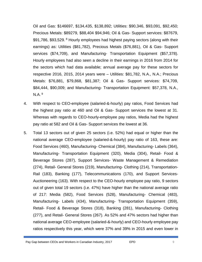Oil and Gas: \$146697, \$134,435, \$138,892; Utilities: \$90,346, \$93,091, \$92,450; Precious Metals: \$89279, \$88,404 \$94,946; Oil & Gas- Support services: \$87679, \$91,786, \$93,529. <sup>8</sup> Hourly employees had highest paying sectors (along with their earnings) as: Utilities (\$81,782), Precious Metals (\$76,881), Oil & Gas- Support services (\$74,709), and Manufacturing- Transportation Equipment (\$57,378). Hourly employees had also seen a decline in their earnings in 2016 from 2014 for the sectors which had data available; annual average pay for these sectors for respective 2016, 2015, 2014 years were – Utilities: \$81,782, N.A., N.A.; Precious Metals: \$76,881, \$79,868, \$81,387; Oil & Gas- Support services: \$74,709, \$84,444, \$90,009; and Manufacturing- Transportation Equipment: \$57,378, N.A., N.A. <sup>9</sup>

- 4. With respect to CEO-employee (salaried-&-hourly) pay ratios, Food Services had the highest pay ratio at 460 and Oil & Gas- Support services the lowest at 31. Whereas with regards to CEO-hourly-employee pay ratios, Media had the highest pay ratio at 582 and Oil & Gas- Support services the lowest at 36.
- 5. Total 13 sectors out of given 25 sectors (i.e. 52%) had equal or higher than the national average CEO-employee (salaried-&-hourly) pay ratio of 163, these are: Food Services (460), Manufacturing- Chemical (384), Manufacturing- Labels (364), Manufacturing- Transportation Equipment (320), Media (304), Retail- Food & Beverage Stores (287), Support Services- Waste Management & Remediation (274), Retail- General Stores (219), Manufacturing- Clothing (214), Transportation-Rail (183), Banking (177), Telecommunications (170), and Support Services-Auctioneering (163). With respect to the CEO-hourly employee pay ratio, 9 sectors out of given total 19 sectors (i.e. 47%) have higher than the national average ratio of 217: Media (582), Food Services (528), Manufacturing- Chemical (483), Manufacturing- Labels (434), Manufacturing- Transportation Equipment (359), Retail- Food & Beverage Stores (318), Banking (281), Manufacturing- Clothing (277), and Retail- General Stores (267). As 52% and 47% sectors had higher than national average CEO-employee (salaried-&-hourly) and CEO-hourly employee pay ratios respectively this year, which were 37% and 39% in 2015 and even lower in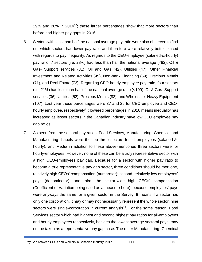29% and 26% in 2014<sup>10</sup>; these larger percentages show that more sectors than before had higher pay gaps in 2016.

- 6. Sectors with less than half the national average pay ratio were also observed to find out which sectors had lower pay ratio and therefore were relatively better placed with regards to pay inequality. As regards to the CEO-employee (salaried-&-hourly) pay ratio, 7 sectors (i.e. 28%) had less than half the national average (<82): Oil & Gas- Support services (31), Oil and Gas (42), Utilities (47), Other Financial Investment and Related Activities (49), Non-bank Financing (69), Precious Metals (71), and Real Estate (73). Regarding CEO-hourly employee pay ratio, four sectors (i.e. 21%) had less than half of the national average ratio (<109): Oil & Gas- Support services (36), Utilities (52), Precious Metals (82), and Wholesale- Heavy Equipment (107). Last year these percentages were 37 and 29 for CEO-employee and CEOhourly employee, respectively<sup>11</sup>; lowered percentages in 2016 means inequality has increased as lesser sectors in the Canadian industry have low CEO employee pay gap ratios.
- 7. As seen from the sectoral pay ratios, Food Services, Manufacturing- Chemical and Manufacturing- Labels were the top three sectors for all-employees (salaried-& hourly), and Media in addition to these above-mentioned three sectors were for hourly-employees. However, none of these can be a truly representative sector with a high CEO-employees pay gap. Because for a sector with higher pay ratio to become a true representative pay gap sector, three conditions should be met: one, relatively high CEOs' compensation (numerator); second, relatively low employees' pays (denominator); and third, the sector-wide high CEOs' compensation (Coefficient of Variation being used as a measure here), because employees' pays were anyways the same for a given sector in the Survey. It means if a sector has only one corporation, it may or may not necessarily represent the whole sector; nine sectors were single-corporation in current analysis<sup>12</sup>. For the same reason, Food Services sector which had highest and second highest pay ratios for all-employees and hourly-employees respectively, besides the lowest average sectoral pays, may not be taken as a representative pay gap case. The other Manufacturing- Chemical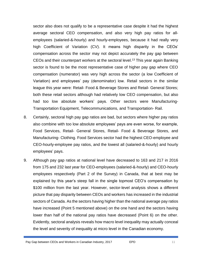sector also does not qualify to be a representative case despite it had the highest average sectoral CEO compensation, and also very high pay ratios for allemployees (salaried-&-hourly) and hourly-employees, because it had really very high Coefficient of Variation (CV). It means high disparity in the CEOs' compensation across the sector may not depict accurately the pay gap between CEOs and their counterpart workers at the sectoral level. <sup>13</sup> This year again Banking sector is found to be the most representative case of higher pay gap where CEO compensation (numerator) was very high across the sector (a low Coefficient of Variation) and employees' pay (denominator) low. Retail sectors in the similar league this year were: Retail- Food & Beverage Stores and Retail- General Stores; both these retail sectors although had relatively low CEO compensation, but also had too low absolute workers' pays. Other sectors were Manufacturing-Transportation Equipment, Telecommunications, and Transportation- Rail.

- 8. Certainly, sectoral high pay gap ratios are bad, but sectors where higher pay ratios also combine with too low absolute employees' pays are even worse, for example, Food Services, Retail- General Stores, Retail- Food & Beverage Stores, and Manufacturing- Clothing. Food Services sector had the highest CEO-employee and CEO-hourly-employee pay ratios, and the lowest all (salaried-&-hourly) and hourly employees' pays.
- 9. Although pay gap ratios at national level have decreased to 163 and 217 in 2016 from 175 and 232 last year for CEO-employees (salaried-&-hourly) and CEO-hourly employees respectively (Part 2 of the Survey) in Canada, that at best may be explained by this year's steep fall in the single topmost CEO's compensation by \$100 million from the last year. However, sector-level analysis shows a different picture that pay disparity between CEOs and workers has increased in the industrial sectors of Canada. As the sectors having higher than the national average pay ratios have increased (Point 5 mentioned above) on the one hand and the sectors having lower than half of the national pay ratios have decreased (Point 6) on the other. Evidently, sectoral analysis reveals how macro level inequality may actually conceal the level and severity of inequality at micro level in the Canadian economy.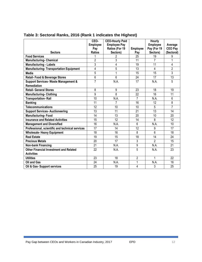|                                                 | CEO-<br><b>Employee</b><br>Pay | <b>CEO-Hourly Paid</b><br><b>Employee Pay</b><br>Ratios (For 19 | <b>Employee</b> | Hourly<br><b>Employee</b><br>Pay (For 19 | Average<br><b>CEO Pay</b> |
|-------------------------------------------------|--------------------------------|-----------------------------------------------------------------|-----------------|------------------------------------------|---------------------------|
| <b>Sectors</b>                                  | <b>Ratios</b>                  | Sectors)                                                        | Pay             | Sectors)                                 | (Sectoral)                |
| <b>Food Services</b>                            |                                | 2                                                               | 25              | 19                                       | 9                         |
| <b>Manufacturing- Chemical</b>                  | $\overline{2}$                 | $\overline{3}$                                                  | $\overline{11}$ | 7                                        | 1                         |
| <b>Manufacturing - Labels</b>                   | 3                              | 4                                                               | 19              | 11                                       | 4                         |
| <b>Manufacturing- Transportation Equipment</b>  | 4                              | 5                                                               | 13              | $\overline{4}$                           | $\overline{2}$            |
| <b>Media</b>                                    | 5                              | 1                                                               | 15              | 15                                       | 3                         |
| Retail- Food & Beverage Stores                  | $\overline{6}$                 | 6                                                               | 24              | 17                                       | 13                        |
| <b>Support Services- Waste Management &amp;</b> | $\overline{7}$                 | N.A.                                                            | 17              | N.A.                                     | 5                         |
| <b>Remediation</b>                              |                                |                                                                 |                 |                                          |                           |
| <b>Retail- General Stores</b>                   | 8                              | 9                                                               | 23              | 18                                       | 19                        |
| <b>Manufacturing-Clothing</b>                   | 9                              | 8                                                               | 22              | 16                                       | 11                        |
| <b>Transportation-Rail</b>                      | 10                             | N.A.                                                            | $\overline{7}$  | N.A.                                     | $\overline{6}$            |
| <b>Banking</b>                                  | 11                             | 7                                                               | 16              | 12                                       | 8                         |
| <b>Telecommunications</b>                       | 12                             | 10                                                              | 10              | 5                                        | 7                         |
| <b>Support Services- Auctioneering</b>          | 13                             | 11                                                              | 21              | $\overline{13}$                          | 14                        |
| <b>Manufacturing-Food</b>                       | 14                             | 13                                                              | 20              | 10                                       | 20                        |
| <b>Insurance and Related Activities</b>         | 15                             | 12                                                              | 14              | 8                                        | $\overline{12}$           |
| <b>Management and Diversified</b>               | 16                             | N.A.                                                            | 6               | N.A.                                     | 10                        |
| Professional, scientific and technical services | 17                             | 14                                                              | 12              | 9                                        | 17                        |
| <b>Wholesale- Heavy Equipment</b>               | 18                             | 16                                                              | 8               | 6                                        | 18                        |
| <b>Real Estate</b>                              | 19                             | 15                                                              | 18              | 14                                       | 24                        |
| <b>Precious Metals</b>                          | 20                             | 17                                                              | 3               | $\overline{2}$                           | 15                        |
| <b>Non-bank Financing</b>                       | 21                             | N.A.                                                            | 9               | N.A.                                     | 21                        |
| Other Financial Investment and Related          | 22                             | N.A.                                                            | 5               | N.A.                                     | 23                        |
| <b>Activities</b>                               |                                |                                                                 |                 |                                          |                           |
| <b>Utilities</b>                                | 23                             | 18                                                              | $\overline{2}$  | 1                                        | 22                        |
| <b>Oil and Gas</b>                              | 24                             | N.A.                                                            | 1               | N.A.                                     | 16                        |
| Oil & Gas- Support services                     | 25                             | 19                                                              | 4               | 3                                        | 25                        |

## **Table 3: Sectoral Ranks, 2016 (Rank 1 indicates the Highest)**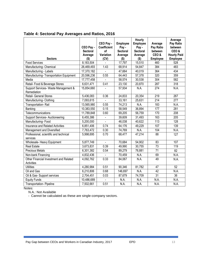|                                                      | CEO Pay -          | CEO Pay -<br><b>Coefficient</b> | Employee<br>Pay -  | Hourly<br><b>Employee</b><br>Pay - | Average<br>Pay Ratio | Average<br>Pay Ratio<br>between       |
|------------------------------------------------------|--------------------|---------------------------------|--------------------|------------------------------------|----------------------|---------------------------------------|
|                                                      | <b>Sectoral</b>    | Ωf                              | <b>Sectoral</b>    | <b>Sectoral</b>                    | between<br>CEO&      | CEO&                                  |
| <b>Sectors</b>                                       | Average<br>$($ \$) | Variation<br>(CV)               | Average<br>$($ \$) | Average<br>$($ \$)                 | <b>Employee</b>      | <b>Hourly Paid</b><br><b>Employee</b> |
| <b>Food Services</b>                                 | 8,183,504          |                                 | 17,797             | 15,510                             | 460                  | 528                                   |
| Manufacturing- Chemical                              | 26,469,493         | 1.43                            | 68,914             | 54,847                             | 384                  | 483                                   |
| Manufacturing - Labels                               | 17,370,182         |                                 | 47,664             | 40,019                             | 364                  | 434                                   |
| Manufacturing-Transportation Equipment               | 20,596,236         | 0.55                            | 64,443             | 57,378                             | 320                  | 359                                   |
| Media                                                | 17,777,458         |                                 | 58,574             | 30,538                             | 304                  | 582                                   |
| Retail- Food & Beverage Stores                       | 6,631,471          | 0.41                            | 23,130             | 20,870                             | 287                  | $\overline{318}$                      |
| Support Services- Waste Management &<br>Remediation  | 15,854,660         | $\blacksquare$                  | 57,934             | N.A.                               | 274                  | N.A.                                  |
| Retail- General Stores                               | 5,436,083          | 0.36                            | 24,833             | 20,354                             | $\overline{219}$     | $\overline{267}$                      |
| Manufacturing- Clothing                              | 7,093,615          |                                 | 33,161             | 25,631                             | $\overline{214}$     | 277                                   |
| Transportation-Rail                                  | 13,565,980         | 0.55                            | 74,213             | N.A.                               | 183                  | N.A.                                  |
| Banking                                              | 10,383,550         | 0.15                            | 58,549             | 36,894                             | $\overline{177}$     | 281                                   |
| Telecommunications                                   | 11,789,848         | 0.60                            | 69,205             | 56,759                             | 170                  | 208                                   |
| <b>Support Services- Auctioneering</b>               | 6,455,386          |                                 | 39,609             | 31,493                             | 163                  | 205                                   |
| Manufacturing-Food                                   | 5,200,000          |                                 | 46,038             | 40,622                             | $\overline{113}$     | 128                                   |
| Insurance and Related Activities                     | 6,851,406          | 0.74                            | 64,176             | 49,229                             | 107                  | 139                                   |
| Management and Diversified                           | 7,763,472          | 0.30                            | 74,769             | N.A.                               | 104                  | N.A.                                  |
| Professional, scientific and technical<br>services   | 5,998,695          | 0.70                            | 68,477             | 47,214                             | $\overline{88}$      | 127                                   |
| Wholesale- Heavy Equipment                           | 5,877,749          | $\blacksquare$                  | 70,684             | 54,902                             | 83                   | 107                                   |
| <b>Real Estate</b>                                   | 3,673,831          | 0.39                            | 49,990             | 30,755                             | $\overline{73}$      | 119                                   |
| <b>Precious Metals</b>                               | 6,301,382          | 0.54                            | 89,279             | 76,881                             | 71                   | 82                                    |
| Non-bank Financing                                   | 4,832,436          |                                 | 70,459             | N.A.                               | 69                   | N.A.                                  |
| Other Financial Investment and Related<br>Activities | 4,092,762          | 0.33                            | 84,067             | N.A.                               | 49                   | N.A.                                  |
| <b>Utilities</b>                                     | 4,280,984          | 0.51                            | 90,346             | 81,782                             | 47                   | 52                                    |
| Oil and Gas                                          | 6,210,806          | 0.68                            | 146,697            | N.A.                               | 42                   | N.A.                                  |
| Oil & Gas- Support services                          | 2,704,451          | 0.03                            | 87,679             | 74,709                             | $\overline{31}$      | 36                                    |
| <b>Equity Funds</b>                                  | 10,486,689         | $\blacksquare$                  | N.A.               | N.A.                               | N.A.                 | N.A.                                  |
| <b>Transportation-Pipeline</b>                       | 7,502,661          | 0.51                            | N.A.               | N.A.                               | N.A.                 | N.A.                                  |

### **Table 4: Sectoral Pay Averages and Ratios, 2016**

Notes:

N.A.: Not Available

- Cannot be calculated as these are single-company sectors.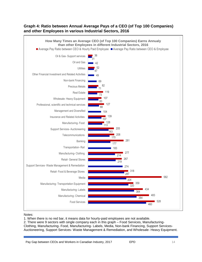#### **Graph 4: Ratio between Annual Average Pays of a CEO (of Top 100 Companies) and other Employees in various Industrial Sectors, 2016**



#### Notes:

1. When there is no red bar, it means data for hourly-paid employees are not available.

2. There were 9 sectors with single company each in this graph – Food Services, Manufacturing-Clothing, Manufacturing- Food, Manufacturing- Labels, Media, Non-bank Financing, Support Services-Auctioneering, Support Services- Waste Management & Remediation, and Wholesale- Heavy Equipment.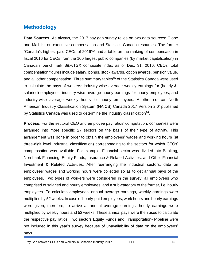## **Methodology**

**Data Sources:** As always, the 2017 pay gap survey relies on two data sources: Globe and Mail list on executive compensation and Statistics Canada resources. The former "Canada's highest-paid CEOs of 2016" **<sup>14</sup>** had a table on the ranking of compensation in fiscal 2016 for CEOs from the 100 largest public companies (by market capitalization) in Canada's benchmark S&P/TSX composite index as of Dec. 31, 2016. CEOs' total compensation figures include salary, bonus, stock awards, option awards, pension value, and all other compensation. Three summary tables**<sup>15</sup>** of the Statistics Canada were used to calculate the pays of workers: industry-wise average weekly earnings for (hourly-& salaried) employees, industry-wise average hourly earnings for hourly employees, and industry-wise average weekly hours for hourly employees. Another source 'North American Industry Classification System (NAICS) Canada 2017 Version 2.0' published by Statistics Canada was used to determine the industry classification**<sup>16</sup>** .

**Process:** For the sectoral CEO and employee pay ratios' computation, companies were arranged into more specific 27 sectors on the basis of their type of activity. This arrangement was done in order to obtain the employees' wages and working hours (at three-digit level industrial classification) corresponding to the sectors for which CEOs' compensation was available. For example, Financial sector was divided into Banking, Non-bank Financing, Equity Funds, Insurance & Related Activities, and Other Financial Investment & Related Activities. After rearranging the industrial sectors, data on employees' wages and working hours were collected so as to get annual pays of the employees. Two types of workers were considered in the survey: all employees who comprised of salaried and hourly employees; and a sub-category of the former, i.e. hourly employees. To calculate employees' annual average earnings, weekly earnings were multiplied by 52 weeks. In case of hourly-paid employees, work hours and hourly earnings were given; therefore, to arrive at annual average earnings, hourly earnings were multiplied by weekly hours and 52 weeks. These annual pays were then used to calculate the respective pay ratios. Two sectors Equity Funds and Transportation- Pipeline were not included in this year's survey because of unavailability of data on the employees' pays.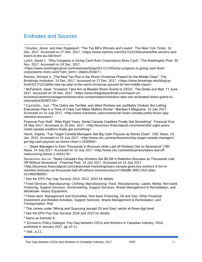## Endnotes and Sources

Lynch, [David J.](https://www.washingtonpost.com/people/david-j-lynch/) "Why Congress is Giving Cash-flush Corporations More Cash". The Washington Post. 30 Nov. 2017. Accessed on 24 Dec. 2017.

<https://www.washingtonpost.com/news/wonk/wp/2017/11/30/why-congress-is-giving-cash-flushcorporations-more-cash/?utm\_term=.18ab2c2f2de7>

Reeves, [Richard V.](https://www.brookings.edu/experts/richard-v-reeves/) "The New Tax Plan is the Worst Christmas Present for the Middle Class". The Brookings Institution*.* 19 Dec. 2017. Accessed on 27 Dec. 2017. [<https://www.brookings.edu/blog/up](https://www.brookings.edu/blog/up-front/2017/12/19/the-new-tax-plan-is-the-worst-christmas-present-for-the-middle-class/)[front/2017/12/19/the-new-tax-plan-is-the-worst-christmas-present-for-the-middle-class/>](https://www.brookings.edu/blog/up-front/2017/12/19/the-new-tax-plan-is-the-worst-christmas-present-for-the-middle-class/)

<sup>2</sup> McFarland, Janet. "Investors Take Aim at Bloated Share Grants to CEOs". The Globe and Mail. 11 June 2017. Accessed on 26 Nov. 2017. <https://www.theglobeandmail.com/report-on-

business/careers/management/executive-compensation/investors-take-aim-at-bloated-share-grants-toceos/article35280719/>

<sup>3</sup> Castaldo, Joe. "The Optics are Terrible, and Jilted Workers are Justifiably Choked. But Letting Executives Flee in a Time of Crisis Can Make Matters Worse". Maclean's Magazine. 14 July 2017. Accessed on 15 July 2017. < http://www.macleans.ca/economy/can-sears-canada-justify-those-uglyretention-bonuses/>

Financial Post Staff. "After Eight Years, Nortel Canada Creditors Finally Get Something". Financial Post. 26 May 2017. Accessed on 25 Dec. 2017. <http://business.financialpost.com/news/after-eight-yearsnortel-canada-creditors-finally-get-something>

Harris, Sophia. "Top Target Canada Managers Get Big Cash Payouts as Stores Close". CBC News. 24 Jan. 2015. Accessed on 15 July 2017. <http://www.cbc.ca/news/business/top-target-canada-managersget-big-cash-payouts-as-stores-close-1.2930064>

---. "Sears Managers to Earn Thousands in Bonuses while Laid-off Workers Get no Severance" CBC News. 14 July 2017. Accessed on 15 July 2017 <http://www.cbc.ca/news/business/sears-laid-offrestructuring-bonus-1.4204178>

SIEKIERSKA, ALICJA. "Sears Canada's Key Workers Get \$9.2M in Retention Bonuses as Thousands Laid Off Without Severance". Financial Post. 14 July 2017. Accessed on 15 July 2017.

<http://business.financialpost.com/news/retail-marketing/sears-canada-gives-key-workers-9-2m-inretention-bonuses-as-thousands-laid-off-without-severance/wcm/736fa9fe-36b2-45cf-a9ac-52146629bb92>

<sup>4</sup> See the EPD Pay Gap Surveys 2010, 2012, 2013 for details.

<sup>5</sup> Food Services, Manufacturing- Clothing, Manufacturing- Food, Manufacturing- Labels, Media, Non-bank Financing, Support Services- Auctioneering, Support Services- Waste Management & Remediation, and Wholesale- Heavy Equipment.

<sup>6</sup> These were: Management and Diversified, Non-bank Financing, Oil and Gas, Other Financial Investment and Related Activities, Support Services- Waste Management & Remediation, and Transportation- Rail.

<sup>7</sup> This comes under 'Mining and Quarrying (except Oil and Gas)' sector at three-digit level.

<sup>8</sup> See the EPD Pay Gap Surveys 2016 and 2015 for details.

<sup>9</sup> Same as footnote 8.

<sup>10</sup> Economic Policy Dialogue. Pay Gap between CEOs and Workers in Canadian Industry, 2016, published in January 2017, pp.10-11.

<sup>11</sup> ibid., p.11.

<sup>1</sup> Drucker, [Jesse](https://www.nytimes.com/by/jesse-drucker) and [Alan Rappeport.](https://www.nytimes.com/by/alan-rappeport) "The Tax Bill's Winners and Losers". The New York Times. 16 Dec. 2017. Accessed on 27 Dec. 2017. [<https://www.nytimes.com/2017/12/16/business/the-winners-and](https://www.nytimes.com/2017/12/16/business/the-winners-and-losers-in-the-tax-bill.html)[losers-in-the-tax-bill.html>](https://www.nytimes.com/2017/12/16/business/the-winners-and-losers-in-the-tax-bill.html)  $\overline{a}$